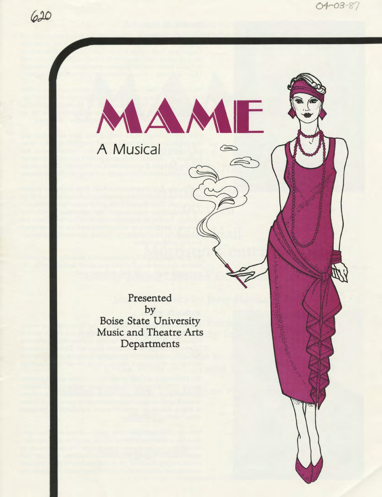W





# A Musical

Presented by Boise State University Music and Theatre Arts Departments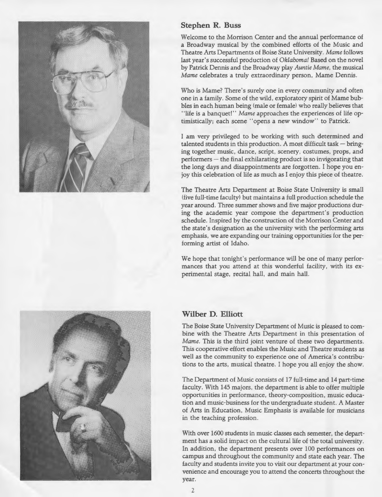

## **Stephen R. Buss**

Welcome to the Morrison Center and the annual performance of a Broadway musical by the combined efforts of the Music and Theatre Arts Departments of Boise State University. *Marne* follows last year's successful production of *Oklahoma!* Based on the novel by Patrick Dennis and the Broadway play *Auntie Marne,* the musical *Mame* celebrates a truly extraordinary person, Mame Dennis.

Who is Mame? There's surely one in every community and often one in a family. Some of the wild, exploratory spirit of Mame bubbles in each human being (male or female) who really believes that "life is a banquet!" *Mame* approaches the experiences of life optimistically; each scene "opens a new window" to Patrick.

I am very privileged to be working with such determined and talented students in this production. A most difficult task - bringing together music, dance, script, scenery, costumes, props, and  $performs - the final exhibiting product is so invigorating that$ the long days and disappointments are forgotten. I hope you enjoy this celebration of life as much as I enjoy this piece of theatre.

The Theatre Arts Department at Boise State University is small (five full-time faculty) but maintains a full production schedule the year around. Three summer shows and five major productions during the academic year compose the department's production schedule. Inspired by the construction of the Morrison Center and the state's designation as the university with the performing arts emphasis, we are expanding our training opportunities for the performing artist of Idaho.

We hope that tonight's performance will be one of many performances that you attend at this wonderful facility, with its experimental stage, recital hall, and main hall.

## **Wilber D. Elliott**

The Boise State University Department of Music is pleased to combine with the Theatre Arts Department in this presentation of *Marne.* This is the third joint venture of these two departments. This cooperative effort enables the Music and Theatre students as well as the community to experience one of America's contributions to the arts, musical theatre. I hope you all enjoy the show.

The Department of Music consists of 17 full-time and 14 part-time faculty. With 145 majors, the department is able to offer multiple opportunities in performance, theory-composition, music education and music-business for the undergraduate student. A Master of Arts in Education, Music Emphasis is available for musicians in the teaching profession.

With over 1600 students in music classes each semester, the department has a solid impact on the cultural life of the total university. In addition, the department presents over 100 performances on campus and throughout the community and state each year. The faculty and students invite you to visit our department at your convenience and encourage you to attend the concerts throughout the year.

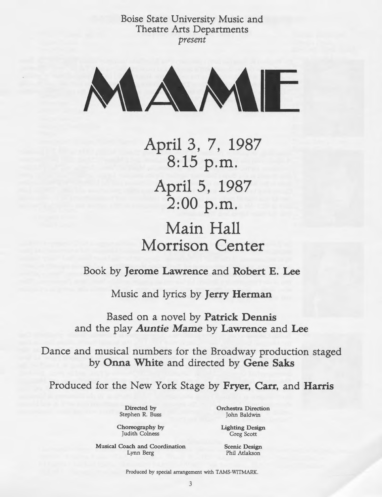Boise State University Music and Theatre Arts Departments *present* 



**April 3, 7, 1987 8:15 p.m. April 5, 1987 2:00 p.m. Main Hall Morrison Center** 

Book by **Jerome Lawrence** and **Robert E. Lee** 

Music and lyrics by **Jerry Herman** 

Based on a novel by **Patrick Dennis**  and the play *Auntie* **Marne by Lawrence** and **Lee** 

Dance and musical numbers for the Broadway production staged by **Onna White** and directed by **Gene Saks** 

Produced for the New York Stage by **Fryer, Carr,** and **Harris** 

Directed by Stephen R. Buss Orchestra Direction John Baldwin

Choreography by Judith Colness

Musical Coach and Coordination Lynn Berg

Lighting Design Greg Scott

> Scenic Design Phil Atlakson

Produced by special arrangement with TAMS-WITMARK.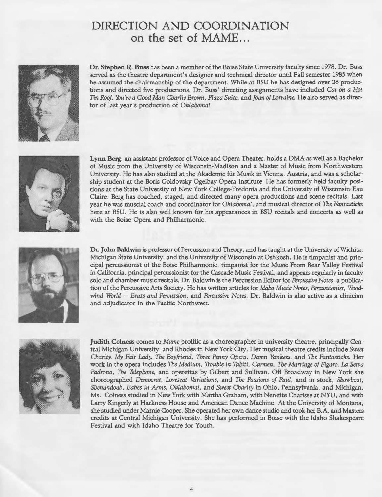## **DIRECTION AND COORDINATION**  on the set of MAME...



**Dr. Stephen R. Buss** has been a member of the Boise State University faculty since 1978. Dr. Buss served as the theatre department's designer and technical director until Fall semester 1985 when he assumed the chairmanship of the department. While at BSU he has designed over 26 productions and directed five productions. Dr. Buss' directing assignments have included *Cat on a Hot Tin Roof, You're a Good Man Charlie Brown, Plaza Suite,* and *joan of Lorraine.* He also served as director of last year's production of *Oklahoma[* 



**Lynn Berg,** an assistant professor of Voice and Opera Theater, holds a DMA as well as a Bachelor of Music from the University of Wisconsin-Madison and a Master of Music from Northwestern University. He has also studied at the Akademie fiir Musik in Vienna, Austria, and was a scholarship student at the Boris Goldovsky Ogelbay Opera Institute. He has formerly held faculty positions at the State University of New York College-Fredonia and the University of Wisconsin-Eau Claire. Berg has coached, staged, and directed many opera productions and scene recitals. Last year he was muscial coach and coordinator for *Oklahoma[,* and musical director of *The Fantasticks*  here at BSU. He is also well known for his appearances in BSU recitals and concerts as well as with the Boise Opera and Philharmonic.



**Dr. John Baldwin** is professor of Percussion and Theory, and has taught at the University of Wichita, Michigan State University, and the University of Wisconsin at Oshkosh. He is timpanist and principal percussionist of the Boise Philharmonic, timpanist for the Music From Bear Valley Festival in California, principal percussionist for the Cascade Music Festival, and appears regularly in faculty solo and chamber music recitals. Dr. Baldwin is the Percussion Editor for *Percussive Notes,* a publication of the Percussive Arts Society. He has written articles for *Idaho Music Notes, Percussionist, Woodwind World- Brass and Percussion,* and *Percussive Notes.* Dr. Baldwin is also active as a clinician and adjudicator in the Pacific Northwest.



**Judith Colness** comes to *Marne* prolific as a choreographer in university theatre, principally Central Michigan University, and Rhodes in New York City. Her musical theatre credits include *Sweet Charity, My Fair Lady, The Boyfriend, Three Penny Opera, Damn Yankees,* and *The Fantasticks.* Her work in the opera includes *The Medium, Trouble in Tahiti, Carmen, The Marriage of Figaro, La Serva Padrona, The Telephone,* and operettas by Gilbert and Sullivan. Off Broadway in New York she choreographed *Democrat, Loveseat Variations,* and *The Passions of Paul,* and in stock, *Showboat, Shenandoah, Babes in Arms, Oklahoma[,* and *Sweet Charity* in Ohio, Pennsylvania, and Michigan. Ms. Colness studied in New York with Martha Graham, with Nenette Charisse at NYU, and with Larry Kingerly at Harkness House and American Dance Machine. At the University of Montana, she studied under Mamie Cooper. She operated her own dance studio and took her B.A. and Masters credits at Central Michigan University. She has performed in Boise with the Idaho Shakespeare Festival and with Idaho Theatre for Youth.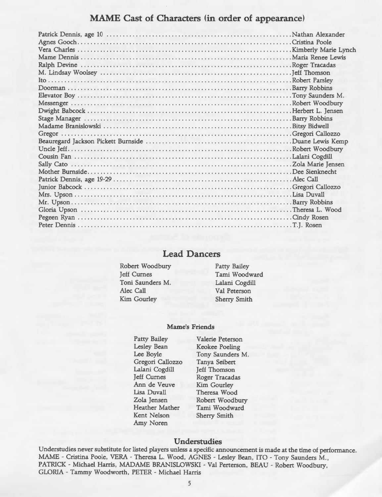## **MAME Cast of Characters (in order of appearance)**

## **Lead Dancers**

- Robert Woodbury Jeff Curnes Toni Saunders M. Alec Call Kim Gourley
- Patty Bailey Tami Woodward Lalani Cogdill Val Peterson Sherry Smith

#### **Marne's Friends**

Patty Bailey Lesley Bean Lee Boyle Gregori Callozzo Lalani Cogdill Jeff Curnes Ann de Veuve Lisa Duvall Zola Jensen Heather Mather Kent Nelson Amy Noren

Valerie Peterson Keokee Poeling Tony Saunders M. Tanya Seibert Jeff Thomson Roger Tracadas Kim Gourley Theresa Wood Robert Woodbury Tami Woodward Sherry Smith

#### **Understudies**

Understudies never substitute for listed players unless a specific announcement is made at the time of performance. MAME- Cristina Poole, VERA- Theresa L. Wood, AGNES- Lesley Bean, ITO- Tony Saunders M. , PATRICK- Michael Harris, MADAME BRANISLOWSKI- Val Perterson, BEAU- Robert Woodbury, GLORIA - Tammy Woodworth, PETER - Michael Harris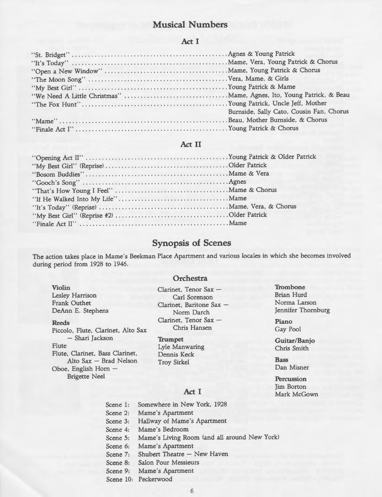## Musical Numbers

#### Act I

| Burnside, Sally Cato, Cousin Fan, Chorus |
|------------------------------------------|
|                                          |
|                                          |

## Act II

## Synopsis of Scenes

The action takes place in Mame's Beekman Place Apartment and various locales in which she becomes involved during period from 1928 to 1946.

#### **Orchestra**

Violin Lesley Harrison Frank Outhet DeAnn E. Stephens

Reeds

Piccolo, Flute, Clarinet, Alto Sax - Shari Jackson Flute Flute, Clarinet, Bass Clarinet, Alto Sax- Brad Nelson Oboe, English Horn-Brigette Neel

Clarinet. Tenor Sax -Carl Sorenson Clarinet, Baritone Sax -Norm Darch Clarinet, Tenor Sax -Chris Hansen

**Trumpet** Lyle Manwaring Dennis Keck Troy Sirkel

#### Act I

Scene 1: Scene 2: Scene 3: Hallway of Mame's Apartment Scene 4: Mame's Bedroom Somewhere in New York, 1928 Mame's Apartment Scene 5: Scene 6: Mame's Apartment Marne's Living Room (and all around New York) Scene 7: Shubert Theatre - New Haven Scene 8: Salon Pour Messieurs Scene 9: Mame's Apartment Scene 10: Peckerwood

**Trombone** Brian Hurd Norma Larson Jennifer Thornburg

Piano Gay Pool

Guitar/Banjo Chris Smith

Bass Dan Misner

**Percussion** Jim Borton Mark McGown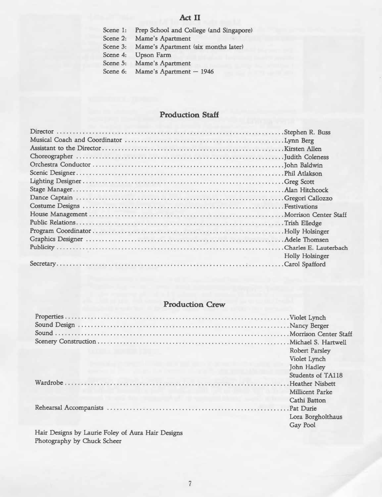## **Act II**

Scene 1: Prep School and College (and Singapore)

Scene 2: Mame's Apartment

Scene 3: Mame's Apartment (six months later)

Scene 4: Upson Farm

- Scene 5: Mame's Apartment
- Scene 6: Mame's Apartment 1946

## **Production Staff**

| Holly Holsinger |
|-----------------|
|                 |

## **Production Crew**

|                                                           | <b>Robert Parsley</b> |
|-----------------------------------------------------------|-----------------------|
|                                                           | Violet Lynch          |
|                                                           | John Hadley           |
|                                                           | Students of TA118     |
| a will can be the sole of the common to the common of the |                       |
|                                                           | Millicent Parke       |
|                                                           | Cathi Batton          |
|                                                           |                       |
|                                                           | Lora Borgholthaus     |
|                                                           | Gay Pool              |
| Hair Designs by Laurie Foley of Aura Hair Designs         |                       |

Hair Designs by Laurie Foley of Aura Hair Designs Photography by Chuck Scheer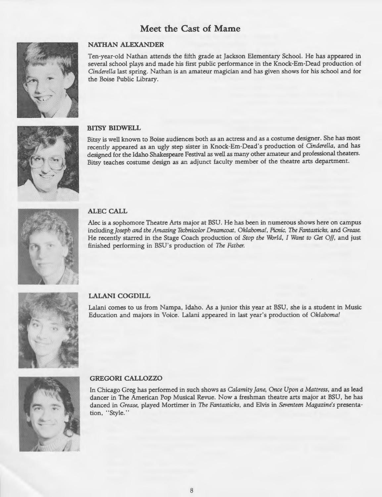## **Meet the Cast of Marne**



#### **NATHAN ALEXANDER**

Ten-year-old Nathan attends the fifth grade at Jackson Elementary School. He has appeared in several school plays and made his first public performance in the Knock-Em-Dead production of *Cinderella* last spring. Nathan is an amateur magician and has given shows for his school and for the Boise Public Library.



#### **BITSY BIDWELL**

Bitsy is well known to Boise audiences both as an actress and as a costume designer. She has most recently appeared as an ugly step sister in Knock-Em-Dead's production of *Cinderella,* and has designed for the Idaho Shakespeare Festival as well as many other amateur and professional theaters. Bitsy teaches costume design as an adjunct faculty member of the theatre arts department.



**ALEC CALL** 

Alec is a sophomore Theatre Arts major at BSU. He has been in numerous shows here on campus including *Joseph and the Amazing Technicolor Dreamcoat, Oklahoma!, Picnic, The Fantasticks,* and *Grease.*  He recently starred in the Stage Coach production of *Stop the World, I Want to Get Off,* and just finished performing in BSU's production of *The Father.* 



#### **LALANI COGDILL**

Lalani comes to us from Nampa, Idaho. As a junior this year at BSU, she is a student in Music Education and majors in Voice. Lalani appeared in last year's production of *Oklahoma!* 



#### **GREGORICALLOZZO**

In Chicago Greg has performed in such shows as *Calamity Jane, Once Upon a Mattress,* and as lead dancer in The American Pop Musical Revue. Now a freshman theatre arts major at BSU, he has danced in *Grease,* played Mortimer in *The Fantasticks,* and Elvis in *Seventeen Magazine's* presentation, "Style."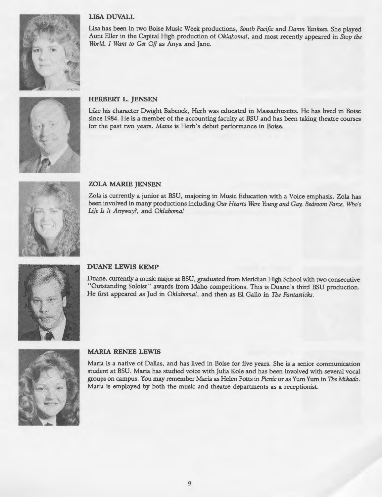## **LISA DUVALL**



Lisa has been in two Boise Music Week productions, *South Pacific* and *Damn Yankees.* She played Aunt Eller in the Capital High production of *Oklahoma!,* and most recently appeared in *Stop the World, I Want to Get Off* as Anya and Jane.



## **HERBERT L. JENSEN**

Like his character Dwight Babcock, Herb was educated in Massachusetts. He has lived in Boise since 1984. He is a member of the accounting faculty at BSU and has been taking theatre courses for the past two years. *Marne* is Herb's debut performance in Boise.



#### **ZOLA MARIE JENSEN**

Zola is currently a junior at BSU, majoring in Music Education with a Voice emphasis. Zola has been involved in many productions including *Our Hearts Were Young and Gay, Bedroom Farce, Who's Life Is It Anyway?,* and *Oklahoma!* 



#### **DUANE LEWIS KEMP**

Duane, currently a music major at BSU, graduated from Meridian High School with two consecutive "Outstanding Soloist" awards from Idaho competitions. This is Duane's third BSU production. He first appeared as Jud in *Oklahoma!,* and then as El Gallo in *The Fantasticks.* 



#### **MARIA RENEE LEWIS**

Maria is a native of Dallas, and has lived in Boise for five years. She is a senior communication student at BSU. Maria has studied voice with Julia Kole and has been involved with several vocal groups on campus. You may remember Maria as Helen Potts in *Picnic* or as Yum Yum in *The Mikado.*  Maria is employed by both the music and theatre departments as a receptionist.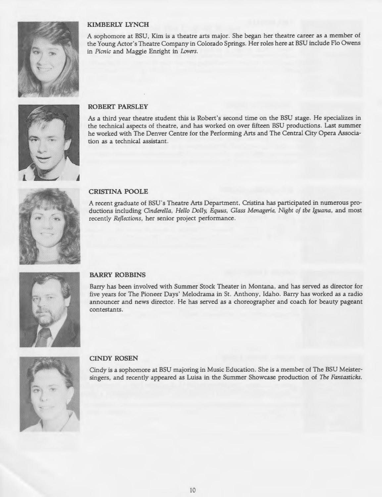

## **KIMBERLY LYNCH**

<sup>A</sup>sophomore at BSU, Kim is a theatre arts major. She began her theatre career as a member of the Young Actor's Theatre Company in Colorado Springs. Her roles here at BSU include Flo Owens in *Picnic* and Maggie Enright in Lovers.



#### **ROBERT PARSLEY**

As a third year theatre student this is Robert's second time on the BSU stage. He specializes in the technical aspects of theatre, and has worked on over fifteen BSU productions. Last summer he worked with The Denver Centre for the Performing Arts and The Central City Opera Association as a technical assistant.



#### **CRISTINA POOLE**

A recent graduate of BSU's Theatre Arts Department, Cristina has participated in numerous productions including *Cinderella, Hello Dolly, Equus, Glass Menagerie, Night of the Iguana,* and most recently *Reflections,* her senior project performance.



#### **BARRY ROBBINS**

Barry has been involved with Summer Stock Theater in Montana, and has served as director for five years for The Pioneer Days' Melodrama in St. Anthony, Idaho. Barry has worked as a radio announcer and news director. He has served as a choreographer and coach for beauty pagean<sup>t</sup> contestants.



#### **CINDY ROSEN**

Cindy is a sophomore at BSU majoring in Music Education. She is a member of The BSU Meistersingers, and recently appeared as Luisa in the Summer Showcase production of *The Fantasticks.*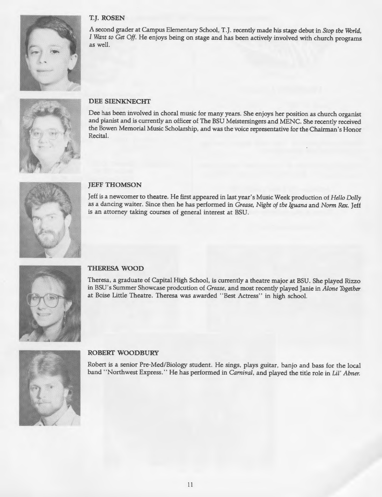

#### **T.J. ROSEN**

A second grader at Campus Elementary School, T.J. recently made his stage debut in *Stop the World*, *I Want to Get Off.* He enjoys being on stage and has been actively involved with church programs as well.



#### **DEE SIENKNECHT**

Dee has been involved in choral music for many years. She enjoys her position as church organist and pianist and is currently an officer of The BSU Meistersingers and MENC. She recently received the Bowen Memorial Music Scholarship, and was the voice representative for the Chairman's Honor Recital.



#### **JEFF THOMSON**

Jeff is a newcomer to theatre. He first appeared in last year's Music Week production of *Hello Dolly*  as a dancing waiter. Since then he has performed in *Grease, Night of the Iguana* and *Norm Rex.* Jeff is an attorney taking courses of general interest at BSU.



#### **THERESA WOOD**

Theresa, a graduate of Capital High School, is currently a theatre major at BSU. She played Rizzo in BSU's Summer Showcase prodcution of *Grease,* and most recently played Janie in *Alone Together*  at Boise Little Theatre. Theresa was awarded " Best Actress" in high school.



#### **ROBERT WOODBURY**

Robert is a senior Pre-Med/Biology student. He sings, plays guitar, banjo and bass for the local band ''Northwest Express. '' He has performed in *Carnival,* and played the title role in *Lil' Abner.*